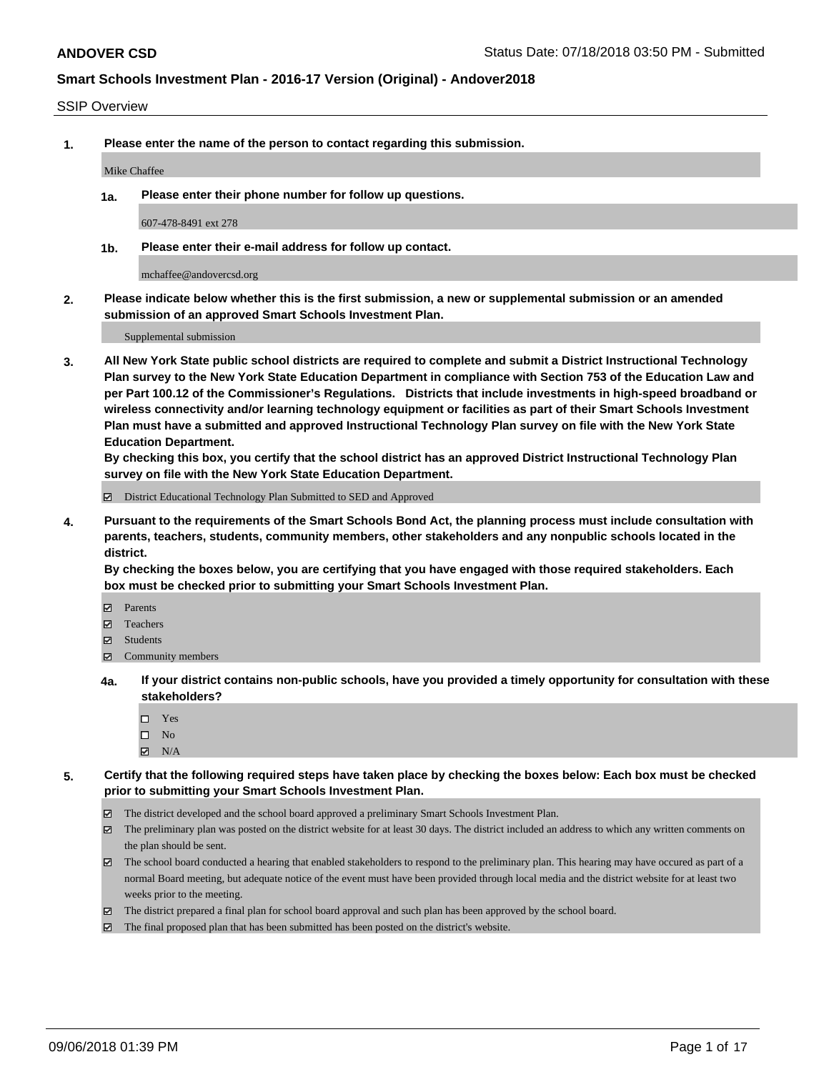#### SSIP Overview

**1. Please enter the name of the person to contact regarding this submission.**

#### Mike Chaffee

**1a. Please enter their phone number for follow up questions.**

607-478-8491 ext 278

**1b. Please enter their e-mail address for follow up contact.**

mchaffee@andovercsd.org

**2. Please indicate below whether this is the first submission, a new or supplemental submission or an amended submission of an approved Smart Schools Investment Plan.**

Supplemental submission

**3. All New York State public school districts are required to complete and submit a District Instructional Technology Plan survey to the New York State Education Department in compliance with Section 753 of the Education Law and per Part 100.12 of the Commissioner's Regulations. Districts that include investments in high-speed broadband or wireless connectivity and/or learning technology equipment or facilities as part of their Smart Schools Investment Plan must have a submitted and approved Instructional Technology Plan survey on file with the New York State Education Department.** 

**By checking this box, you certify that the school district has an approved District Instructional Technology Plan survey on file with the New York State Education Department.**

District Educational Technology Plan Submitted to SED and Approved

**4. Pursuant to the requirements of the Smart Schools Bond Act, the planning process must include consultation with parents, teachers, students, community members, other stakeholders and any nonpublic schools located in the district.** 

**By checking the boxes below, you are certifying that you have engaged with those required stakeholders. Each box must be checked prior to submitting your Smart Schools Investment Plan.**

- **Parents**
- Teachers
- **☑** Students
- **☑** Community members
- **4a. If your district contains non-public schools, have you provided a timely opportunity for consultation with these stakeholders?**
	- □ Yes
	- $\square$  No
	- $\boxtimes$  N/A
- **5. Certify that the following required steps have taken place by checking the boxes below: Each box must be checked prior to submitting your Smart Schools Investment Plan.**
	- The district developed and the school board approved a preliminary Smart Schools Investment Plan.
	- $\boxtimes$  The preliminary plan was posted on the district website for at least 30 days. The district included an address to which any written comments on the plan should be sent.
	- The school board conducted a hearing that enabled stakeholders to respond to the preliminary plan. This hearing may have occured as part of a normal Board meeting, but adequate notice of the event must have been provided through local media and the district website for at least two weeks prior to the meeting.
	- The district prepared a final plan for school board approval and such plan has been approved by the school board.
	- The final proposed plan that has been submitted has been posted on the district's website.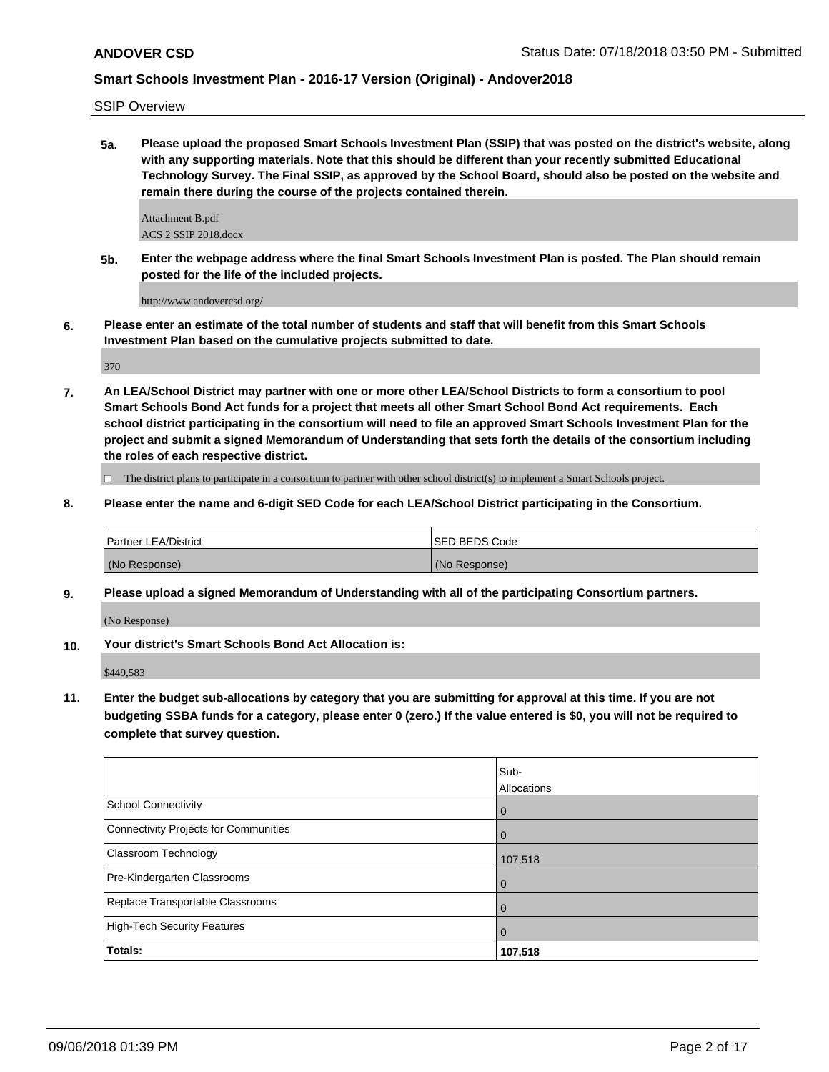SSIP Overview

**5a. Please upload the proposed Smart Schools Investment Plan (SSIP) that was posted on the district's website, along with any supporting materials. Note that this should be different than your recently submitted Educational Technology Survey. The Final SSIP, as approved by the School Board, should also be posted on the website and remain there during the course of the projects contained therein.**

Attachment B.pdf ACS 2 SSIP 2018.docx

**5b. Enter the webpage address where the final Smart Schools Investment Plan is posted. The Plan should remain posted for the life of the included projects.**

http://www.andovercsd.org/

**6. Please enter an estimate of the total number of students and staff that will benefit from this Smart Schools Investment Plan based on the cumulative projects submitted to date.**

370

**7. An LEA/School District may partner with one or more other LEA/School Districts to form a consortium to pool Smart Schools Bond Act funds for a project that meets all other Smart School Bond Act requirements. Each school district participating in the consortium will need to file an approved Smart Schools Investment Plan for the project and submit a signed Memorandum of Understanding that sets forth the details of the consortium including the roles of each respective district.**

 $\Box$  The district plans to participate in a consortium to partner with other school district(s) to implement a Smart Schools project.

**8. Please enter the name and 6-digit SED Code for each LEA/School District participating in the Consortium.**

| <b>Partner LEA/District</b> | ISED BEDS Code |
|-----------------------------|----------------|
| (No Response)               | (No Response)  |

**9. Please upload a signed Memorandum of Understanding with all of the participating Consortium partners.**

(No Response)

**10. Your district's Smart Schools Bond Act Allocation is:**

\$449,583

**11. Enter the budget sub-allocations by category that you are submitting for approval at this time. If you are not budgeting SSBA funds for a category, please enter 0 (zero.) If the value entered is \$0, you will not be required to complete that survey question.**

|                                              | Sub-<br>Allocations |
|----------------------------------------------|---------------------|
| <b>School Connectivity</b>                   | $\overline{0}$      |
| <b>Connectivity Projects for Communities</b> | $\overline{0}$      |
| <b>Classroom Technology</b>                  | 107,518             |
| Pre-Kindergarten Classrooms                  | $\overline{0}$      |
| Replace Transportable Classrooms             | $\mathbf 0$         |
| <b>High-Tech Security Features</b>           | $\mathbf 0$         |
| Totals:                                      | 107,518             |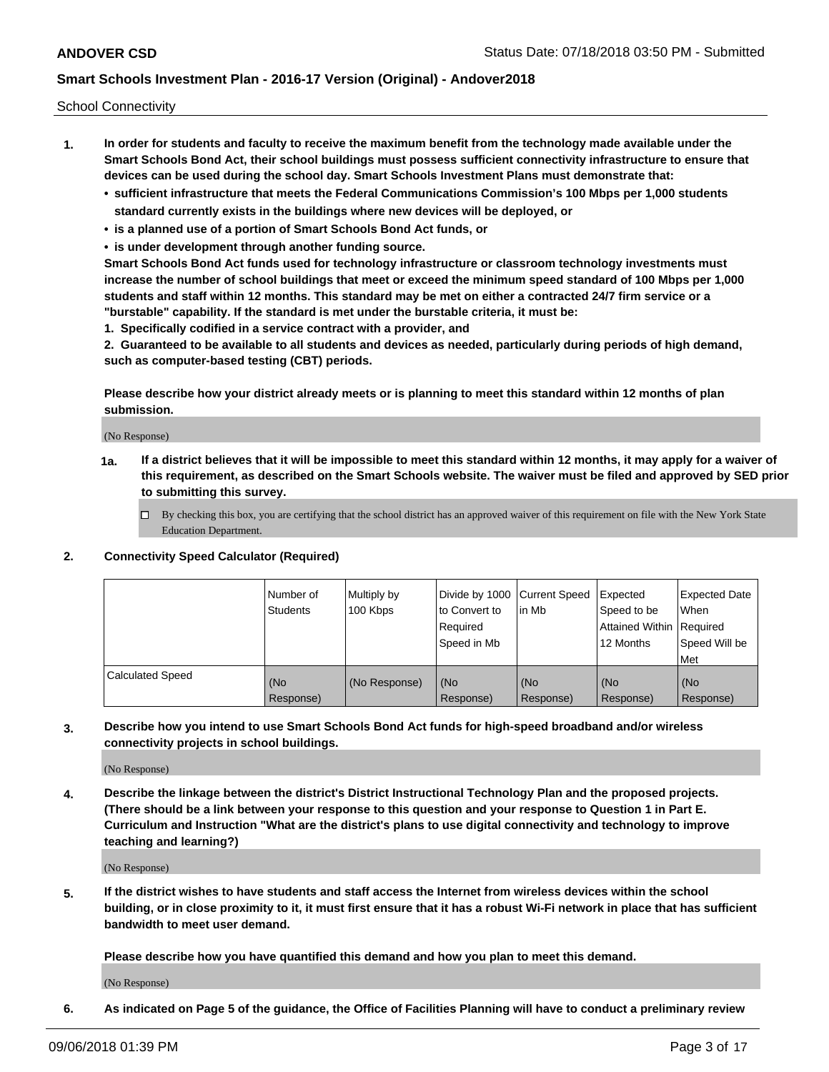School Connectivity

- **1. In order for students and faculty to receive the maximum benefit from the technology made available under the Smart Schools Bond Act, their school buildings must possess sufficient connectivity infrastructure to ensure that devices can be used during the school day. Smart Schools Investment Plans must demonstrate that:**
	- **• sufficient infrastructure that meets the Federal Communications Commission's 100 Mbps per 1,000 students standard currently exists in the buildings where new devices will be deployed, or**
	- **• is a planned use of a portion of Smart Schools Bond Act funds, or**
	- **• is under development through another funding source.**

**Smart Schools Bond Act funds used for technology infrastructure or classroom technology investments must increase the number of school buildings that meet or exceed the minimum speed standard of 100 Mbps per 1,000 students and staff within 12 months. This standard may be met on either a contracted 24/7 firm service or a "burstable" capability. If the standard is met under the burstable criteria, it must be:**

**1. Specifically codified in a service contract with a provider, and**

**2. Guaranteed to be available to all students and devices as needed, particularly during periods of high demand, such as computer-based testing (CBT) periods.**

**Please describe how your district already meets or is planning to meet this standard within 12 months of plan submission.**

(No Response)

**1a. If a district believes that it will be impossible to meet this standard within 12 months, it may apply for a waiver of this requirement, as described on the Smart Schools website. The waiver must be filed and approved by SED prior to submitting this survey.**

 $\Box$  By checking this box, you are certifying that the school district has an approved waiver of this requirement on file with the New York State Education Department.

#### **2. Connectivity Speed Calculator (Required)**

|                         | Number of<br>Students | Multiply by<br>100 Kbps | Divide by 1000 Current Speed<br>to Convert to<br>Required<br>Speed in Mb | lin Mb           | Expected<br>Speed to be<br>Attained Within   Required<br>12 Months | <b>Expected Date</b><br>When<br>Speed Will be<br><b>Met</b> |
|-------------------------|-----------------------|-------------------------|--------------------------------------------------------------------------|------------------|--------------------------------------------------------------------|-------------------------------------------------------------|
| <b>Calculated Speed</b> | (No<br>Response)      | (No Response)           | (No<br>Response)                                                         | (No<br>Response) | (No<br>Response)                                                   | (No<br>Response)                                            |

**3. Describe how you intend to use Smart Schools Bond Act funds for high-speed broadband and/or wireless connectivity projects in school buildings.**

(No Response)

**4. Describe the linkage between the district's District Instructional Technology Plan and the proposed projects. (There should be a link between your response to this question and your response to Question 1 in Part E. Curriculum and Instruction "What are the district's plans to use digital connectivity and technology to improve teaching and learning?)**

(No Response)

**5. If the district wishes to have students and staff access the Internet from wireless devices within the school building, or in close proximity to it, it must first ensure that it has a robust Wi-Fi network in place that has sufficient bandwidth to meet user demand.**

**Please describe how you have quantified this demand and how you plan to meet this demand.**

(No Response)

**6. As indicated on Page 5 of the guidance, the Office of Facilities Planning will have to conduct a preliminary review**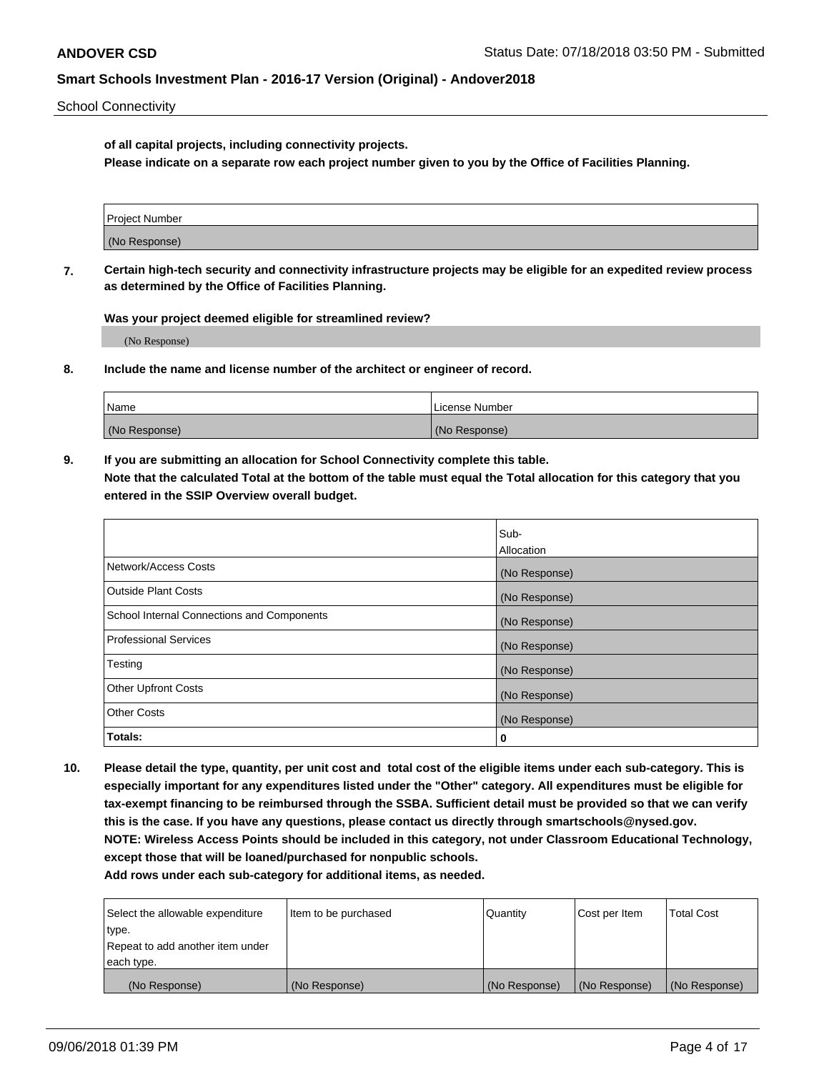School Connectivity

**of all capital projects, including connectivity projects.**

**Please indicate on a separate row each project number given to you by the Office of Facilities Planning.**

| Project Number |  |
|----------------|--|
|                |  |
|                |  |
|                |  |
| (No Response)  |  |
|                |  |
|                |  |
|                |  |

**7. Certain high-tech security and connectivity infrastructure projects may be eligible for an expedited review process as determined by the Office of Facilities Planning.**

**Was your project deemed eligible for streamlined review?**

(No Response)

**8. Include the name and license number of the architect or engineer of record.**

| Name          | License Number |
|---------------|----------------|
| (No Response) | (No Response)  |

**9. If you are submitting an allocation for School Connectivity complete this table. Note that the calculated Total at the bottom of the table must equal the Total allocation for this category that you entered in the SSIP Overview overall budget.** 

|                                            | Sub-              |
|--------------------------------------------|-------------------|
|                                            | <b>Allocation</b> |
| Network/Access Costs                       | (No Response)     |
| <b>Outside Plant Costs</b>                 | (No Response)     |
| School Internal Connections and Components | (No Response)     |
| <b>Professional Services</b>               | (No Response)     |
| Testing                                    | (No Response)     |
| <b>Other Upfront Costs</b>                 | (No Response)     |
| <b>Other Costs</b>                         | (No Response)     |
| Totals:                                    | 0                 |

**10. Please detail the type, quantity, per unit cost and total cost of the eligible items under each sub-category. This is especially important for any expenditures listed under the "Other" category. All expenditures must be eligible for tax-exempt financing to be reimbursed through the SSBA. Sufficient detail must be provided so that we can verify this is the case. If you have any questions, please contact us directly through smartschools@nysed.gov. NOTE: Wireless Access Points should be included in this category, not under Classroom Educational Technology, except those that will be loaned/purchased for nonpublic schools.**

| Select the allowable expenditure | Item to be purchased | Quantity      | <b>Cost per Item</b> | <b>Total Cost</b> |
|----------------------------------|----------------------|---------------|----------------------|-------------------|
| type.                            |                      |               |                      |                   |
| Repeat to add another item under |                      |               |                      |                   |
| each type.                       |                      |               |                      |                   |
| (No Response)                    | (No Response)        | (No Response) | (No Response)        | (No Response)     |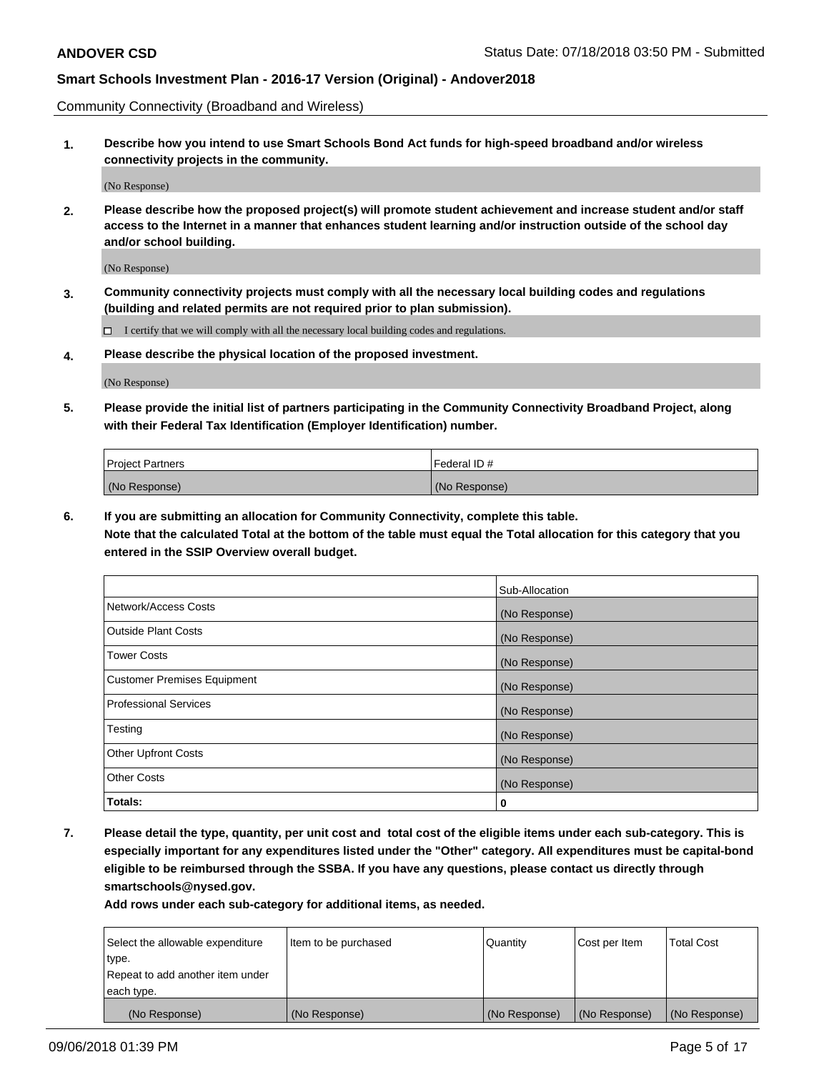Community Connectivity (Broadband and Wireless)

**1. Describe how you intend to use Smart Schools Bond Act funds for high-speed broadband and/or wireless connectivity projects in the community.**

(No Response)

**2. Please describe how the proposed project(s) will promote student achievement and increase student and/or staff access to the Internet in a manner that enhances student learning and/or instruction outside of the school day and/or school building.**

(No Response)

**3. Community connectivity projects must comply with all the necessary local building codes and regulations (building and related permits are not required prior to plan submission).**

 $\Box$  I certify that we will comply with all the necessary local building codes and regulations.

**4. Please describe the physical location of the proposed investment.**

(No Response)

**5. Please provide the initial list of partners participating in the Community Connectivity Broadband Project, along with their Federal Tax Identification (Employer Identification) number.**

| <b>Project Partners</b> | Federal ID#   |
|-------------------------|---------------|
| (No Response)           | (No Response) |

**6. If you are submitting an allocation for Community Connectivity, complete this table.**

**Note that the calculated Total at the bottom of the table must equal the Total allocation for this category that you entered in the SSIP Overview overall budget.**

|                                    | Sub-Allocation |
|------------------------------------|----------------|
| Network/Access Costs               | (No Response)  |
| <b>Outside Plant Costs</b>         | (No Response)  |
| <b>Tower Costs</b>                 | (No Response)  |
| <b>Customer Premises Equipment</b> | (No Response)  |
| <b>Professional Services</b>       | (No Response)  |
| Testing                            | (No Response)  |
| <b>Other Upfront Costs</b>         | (No Response)  |
| <b>Other Costs</b>                 | (No Response)  |
| Totals:                            | 0              |

**7. Please detail the type, quantity, per unit cost and total cost of the eligible items under each sub-category. This is especially important for any expenditures listed under the "Other" category. All expenditures must be capital-bond eligible to be reimbursed through the SSBA. If you have any questions, please contact us directly through smartschools@nysed.gov.**

| Select the allowable expenditure | Item to be purchased | Quantity      | Cost per Item | <b>Total Cost</b> |
|----------------------------------|----------------------|---------------|---------------|-------------------|
| type.                            |                      |               |               |                   |
| Repeat to add another item under |                      |               |               |                   |
| each type.                       |                      |               |               |                   |
| (No Response)                    | (No Response)        | (No Response) | (No Response) | (No Response)     |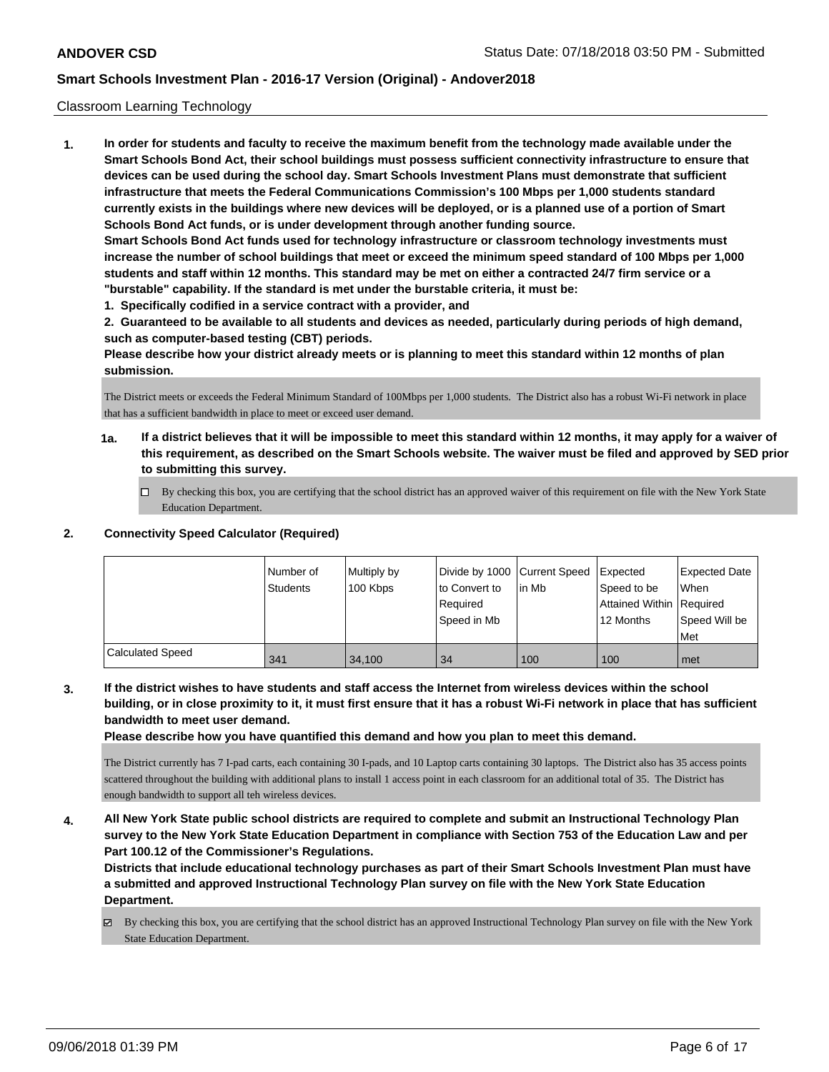#### Classroom Learning Technology

**1. In order for students and faculty to receive the maximum benefit from the technology made available under the Smart Schools Bond Act, their school buildings must possess sufficient connectivity infrastructure to ensure that devices can be used during the school day. Smart Schools Investment Plans must demonstrate that sufficient infrastructure that meets the Federal Communications Commission's 100 Mbps per 1,000 students standard currently exists in the buildings where new devices will be deployed, or is a planned use of a portion of Smart Schools Bond Act funds, or is under development through another funding source. Smart Schools Bond Act funds used for technology infrastructure or classroom technology investments must increase the number of school buildings that meet or exceed the minimum speed standard of 100 Mbps per 1,000 students and staff within 12 months. This standard may be met on either a contracted 24/7 firm service or a "burstable" capability. If the standard is met under the burstable criteria, it must be:**

**1. Specifically codified in a service contract with a provider, and**

**2. Guaranteed to be available to all students and devices as needed, particularly during periods of high demand, such as computer-based testing (CBT) periods.**

**Please describe how your district already meets or is planning to meet this standard within 12 months of plan submission.**

The District meets or exceeds the Federal Minimum Standard of 100Mbps per 1,000 students. The District also has a robust Wi-Fi network in place that has a sufficient bandwidth in place to meet or exceed user demand.

- **1a. If a district believes that it will be impossible to meet this standard within 12 months, it may apply for a waiver of this requirement, as described on the Smart Schools website. The waiver must be filed and approved by SED prior to submitting this survey.**
	- By checking this box, you are certifying that the school district has an approved waiver of this requirement on file with the New York State Education Department.

### **2. Connectivity Speed Calculator (Required)**

|                         | l Number of<br>Students | Multiply by<br>100 Kbps | Divide by 1000 Current Speed<br>to Convert to<br>Required<br>Speed in Mb | in Mb | Expected<br>Speed to be<br>Attained Within Required<br>12 Months | <b>Expected Date</b><br><b>When</b><br>Speed Will be<br>l Met |
|-------------------------|-------------------------|-------------------------|--------------------------------------------------------------------------|-------|------------------------------------------------------------------|---------------------------------------------------------------|
| <b>Calculated Speed</b> | 341                     | 34.100                  | 34                                                                       | 100   | 100                                                              | met                                                           |

**3. If the district wishes to have students and staff access the Internet from wireless devices within the school building, or in close proximity to it, it must first ensure that it has a robust Wi-Fi network in place that has sufficient bandwidth to meet user demand.**

**Please describe how you have quantified this demand and how you plan to meet this demand.**

The District currently has 7 I-pad carts, each containing 30 I-pads, and 10 Laptop carts containing 30 laptops. The District also has 35 access points scattered throughout the building with additional plans to install 1 access point in each classroom for an additional total of 35. The District has enough bandwidth to support all teh wireless devices.

**4. All New York State public school districts are required to complete and submit an Instructional Technology Plan survey to the New York State Education Department in compliance with Section 753 of the Education Law and per Part 100.12 of the Commissioner's Regulations.**

**Districts that include educational technology purchases as part of their Smart Schools Investment Plan must have a submitted and approved Instructional Technology Plan survey on file with the New York State Education Department.**

By checking this box, you are certifying that the school district has an approved Instructional Technology Plan survey on file with the New York State Education Department.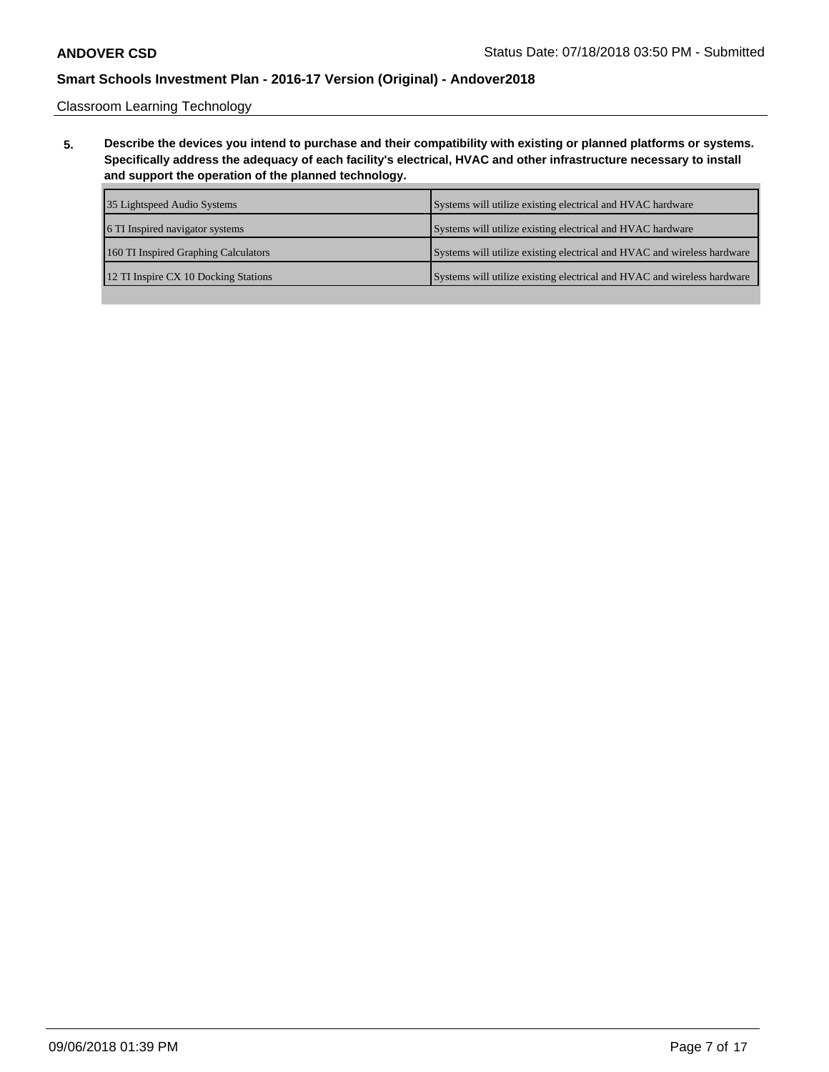Classroom Learning Technology

**5. Describe the devices you intend to purchase and their compatibility with existing or planned platforms or systems. Specifically address the adequacy of each facility's electrical, HVAC and other infrastructure necessary to install and support the operation of the planned technology.**

| 35 Lightspeed Audio Systems          | Systems will utilize existing electrical and HVAC hardware              |
|--------------------------------------|-------------------------------------------------------------------------|
| 6 TI Inspired navigator systems      | Systems will utilize existing electrical and HVAC hardware              |
| 160 TI Inspired Graphing Calculators | Systems will utilize existing electrical and HVAC and wireless hardware |
| 12 TI Inspire CX 10 Docking Stations | Systems will utilize existing electrical and HVAC and wireless hardware |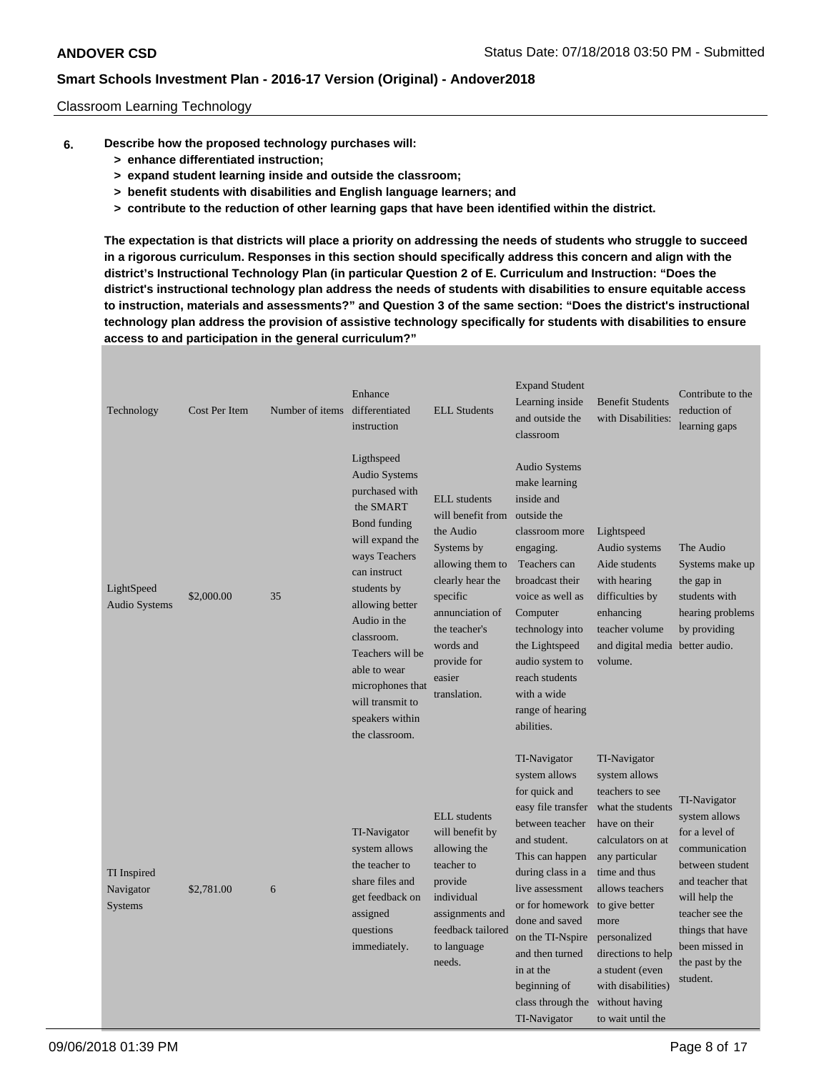#### Classroom Learning Technology

- **6. Describe how the proposed technology purchases will:**
	- **> enhance differentiated instruction;**
	- **> expand student learning inside and outside the classroom;**
	- **> benefit students with disabilities and English language learners; and**
	- **> contribute to the reduction of other learning gaps that have been identified within the district.**

**The expectation is that districts will place a priority on addressing the needs of students who struggle to succeed in a rigorous curriculum. Responses in this section should specifically address this concern and align with the district's Instructional Technology Plan (in particular Question 2 of E. Curriculum and Instruction: "Does the district's instructional technology plan address the needs of students with disabilities to ensure equitable access to instruction, materials and assessments?" and Question 3 of the same section: "Does the district's instructional technology plan address the provision of assistive technology specifically for students with disabilities to ensure access to and participation in the general curriculum?"**

| Technology                          | Cost Per Item | Number of items | Enhance<br>differentiated<br>instruction                                                                                                                                                                                                                                                                               | <b>ELL Students</b>                                                                                                                                                                                               | <b>Expand Student</b><br>Learning inside<br>and outside the<br>classroom                                                                                                                                                                                                                                         | <b>Benefit Students</b><br>with Disabilities:                                                                                                                                                                                                                                                                     | Contribute to the<br>reduction of<br>learning gaps                                                                                                                                                               |
|-------------------------------------|---------------|-----------------|------------------------------------------------------------------------------------------------------------------------------------------------------------------------------------------------------------------------------------------------------------------------------------------------------------------------|-------------------------------------------------------------------------------------------------------------------------------------------------------------------------------------------------------------------|------------------------------------------------------------------------------------------------------------------------------------------------------------------------------------------------------------------------------------------------------------------------------------------------------------------|-------------------------------------------------------------------------------------------------------------------------------------------------------------------------------------------------------------------------------------------------------------------------------------------------------------------|------------------------------------------------------------------------------------------------------------------------------------------------------------------------------------------------------------------|
| LightSpeed<br><b>Audio Systems</b>  | \$2,000.00    | 35              | Ligthspeed<br><b>Audio Systems</b><br>purchased with<br>the SMART<br>Bond funding<br>will expand the<br>ways Teachers<br>can instruct<br>students by<br>allowing better<br>Audio in the<br>classroom.<br>Teachers will be<br>able to wear<br>microphones that<br>will transmit to<br>speakers within<br>the classroom. | <b>ELL</b> students<br>will benefit from<br>the Audio<br>Systems by<br>allowing them to<br>clearly hear the<br>specific<br>annunciation of<br>the teacher's<br>words and<br>provide for<br>easier<br>translation. | <b>Audio Systems</b><br>make learning<br>inside and<br>outside the<br>classroom more<br>engaging.<br>Teachers can<br>broadcast their<br>voice as well as<br>Computer<br>technology into<br>the Lightspeed<br>audio system to<br>reach students<br>with a wide<br>range of hearing<br>abilities.                  | Lightspeed<br>Audio systems<br>Aide students<br>with hearing<br>difficulties by<br>enhancing<br>teacher volume<br>and digital media better audio.<br>volume.                                                                                                                                                      | The Audio<br>Systems make up<br>the gap in<br>students with<br>hearing problems<br>by providing                                                                                                                  |
| TI Inspired<br>Navigator<br>Systems | \$2,781.00    | 6               | TI-Navigator<br>system allows<br>the teacher to<br>share files and<br>get feedback on<br>assigned<br>questions<br>immediately.                                                                                                                                                                                         | <b>ELL</b> students<br>will benefit by<br>allowing the<br>teacher to<br>provide<br>individual<br>assignments and<br>feedback tailored<br>to language<br>needs.                                                    | TI-Navigator<br>system allows<br>for quick and<br>easy file transfer<br>between teacher<br>and student.<br>This can happen<br>during class in a<br>live assessment<br>or for homework<br>done and saved<br>on the TI-Nspire<br>and then turned<br>in at the<br>beginning of<br>class through the<br>TI-Navigator | TI-Navigator<br>system allows<br>teachers to see<br>what the students<br>have on their<br>calculators on at<br>any particular<br>time and thus<br>allows teachers<br>to give better<br>more<br>personalized<br>directions to help<br>a student (even<br>with disabilities)<br>without having<br>to wait until the | TI-Navigator<br>system allows<br>for a level of<br>communication<br>between student<br>and teacher that<br>will help the<br>teacher see the<br>things that have<br>been missed in<br>the past by the<br>student. |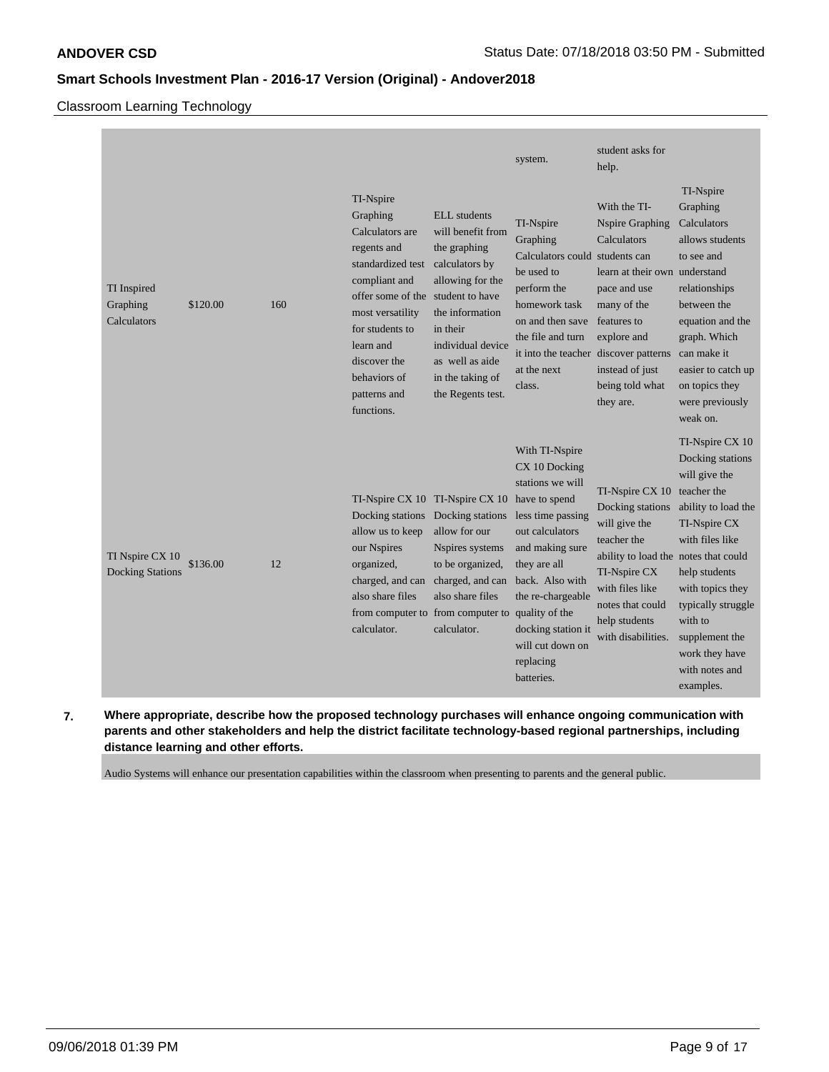## Classroom Learning Technology

| TI Inspired<br>Graphing<br>Calculators     | \$120.00 | 160 | TI-Nspire<br>Graphing<br>Calculators are<br>regents and<br>standardized test<br>compliant and<br>offer some of the student to have<br>most versatility<br>for students to<br>learn and<br>discover the<br>behaviors of<br>patterns and<br>functions. | <b>ELL</b> students<br>will benefit from<br>the graphing<br>calculators by<br>allowing for the<br>the information<br>in their<br>individual device<br>as well as aide<br>in the taking of<br>the Regents test. | system.<br>TI-Nspire<br>Graphing<br>Calculators could students can<br>be used to<br>perform the<br>homework task<br>on and then save<br>the file and turn<br>it into the teacher discover patterns<br>at the next<br>class.                                                    | student asks for<br>help.<br>With the TI-<br><b>Nspire Graphing</b><br>Calculators<br>learn at their own understand<br>pace and use<br>many of the<br>features to<br>explore and<br>instead of just<br>being told what<br>they are. | TI-Nspire<br>Graphing<br>Calculators<br>allows students<br>to see and<br>relationships<br>between the<br>equation and the<br>graph. Which<br>can make it<br>easier to catch up<br>on topics they<br>were previously<br>weak on.                                        |
|--------------------------------------------|----------|-----|------------------------------------------------------------------------------------------------------------------------------------------------------------------------------------------------------------------------------------------------------|----------------------------------------------------------------------------------------------------------------------------------------------------------------------------------------------------------------|--------------------------------------------------------------------------------------------------------------------------------------------------------------------------------------------------------------------------------------------------------------------------------|-------------------------------------------------------------------------------------------------------------------------------------------------------------------------------------------------------------------------------------|------------------------------------------------------------------------------------------------------------------------------------------------------------------------------------------------------------------------------------------------------------------------|
| TI Nspire CX 10<br><b>Docking Stations</b> | \$136.00 | 12  | TI-Nspire CX 10 TI-Nspire CX 10<br>Docking stations Docking stations<br>allow us to keep<br>our Nspires<br>organized,<br>charged, and can<br>also share files<br>calculator.                                                                         | allow for our<br>Nspires systems<br>to be organized,<br>charged, and can<br>also share files<br>from computer to from computer to<br>calculator.                                                               | With TI-Nspire<br>CX 10 Docking<br>stations we will<br>have to spend<br>less time passing<br>out calculators<br>and making sure<br>they are all<br>back. Also with<br>the re-chargeable<br>quality of the<br>docking station it<br>will cut down on<br>replacing<br>batteries. | TI-Nspire CX 10<br>Docking stations<br>will give the<br>teacher the<br>ability to load the notes that could<br>TI-Nspire CX<br>with files like<br>notes that could<br>help students<br>with disabilities.                           | TI-Nspire CX 10<br>Docking stations<br>will give the<br>teacher the<br>ability to load the<br>TI-Nspire CX<br>with files like<br>help students<br>with topics they<br>typically struggle<br>with to<br>supplement the<br>work they have<br>with notes and<br>examples. |

**7. Where appropriate, describe how the proposed technology purchases will enhance ongoing communication with parents and other stakeholders and help the district facilitate technology-based regional partnerships, including distance learning and other efforts.**

Audio Systems will enhance our presentation capabilities within the classroom when presenting to parents and the general public.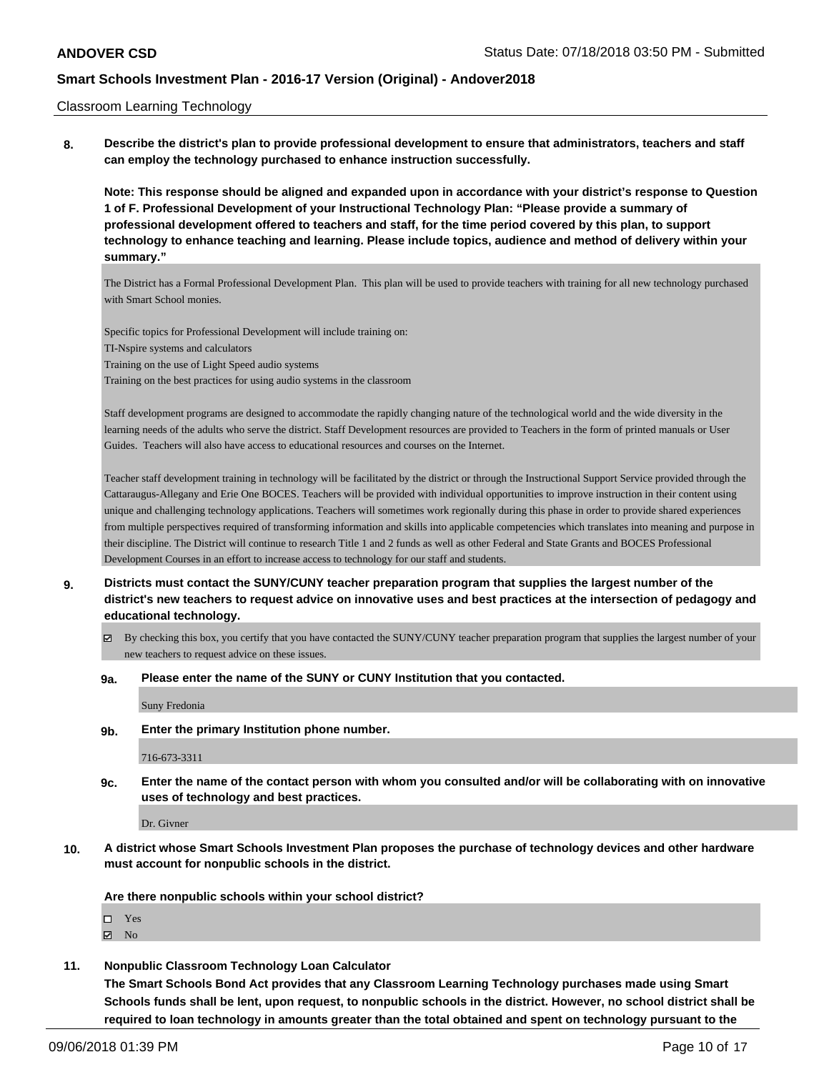#### Classroom Learning Technology

**8. Describe the district's plan to provide professional development to ensure that administrators, teachers and staff can employ the technology purchased to enhance instruction successfully.**

**Note: This response should be aligned and expanded upon in accordance with your district's response to Question 1 of F. Professional Development of your Instructional Technology Plan: "Please provide a summary of professional development offered to teachers and staff, for the time period covered by this plan, to support technology to enhance teaching and learning. Please include topics, audience and method of delivery within your summary."**

The District has a Formal Professional Development Plan. This plan will be used to provide teachers with training for all new technology purchased with Smart School monies.

Specific topics for Professional Development will include training on: TI-Nspire systems and calculators Training on the use of Light Speed audio systems

Training on the best practices for using audio systems in the classroom

Staff development programs are designed to accommodate the rapidly changing nature of the technological world and the wide diversity in the learning needs of the adults who serve the district. Staff Development resources are provided to Teachers in the form of printed manuals or User Guides. Teachers will also have access to educational resources and courses on the Internet.

Teacher staff development training in technology will be facilitated by the district or through the Instructional Support Service provided through the Cattaraugus-Allegany and Erie One BOCES. Teachers will be provided with individual opportunities to improve instruction in their content using unique and challenging technology applications. Teachers will sometimes work regionally during this phase in order to provide shared experiences from multiple perspectives required of transforming information and skills into applicable competencies which translates into meaning and purpose in their discipline. The District will continue to research Title 1 and 2 funds as well as other Federal and State Grants and BOCES Professional Development Courses in an effort to increase access to technology for our staff and students.

- **9. Districts must contact the SUNY/CUNY teacher preparation program that supplies the largest number of the district's new teachers to request advice on innovative uses and best practices at the intersection of pedagogy and educational technology.**
	- By checking this box, you certify that you have contacted the SUNY/CUNY teacher preparation program that supplies the largest number of your new teachers to request advice on these issues.

#### **9a. Please enter the name of the SUNY or CUNY Institution that you contacted.**

Suny Fredonia

**9b. Enter the primary Institution phone number.**

716-673-3311

**9c. Enter the name of the contact person with whom you consulted and/or will be collaborating with on innovative uses of technology and best practices.**

Dr. Givner

**10. A district whose Smart Schools Investment Plan proposes the purchase of technology devices and other hardware must account for nonpublic schools in the district.**

**Are there nonpublic schools within your school district?**

- □ Yes
- $\blacksquare$  No
- **11. Nonpublic Classroom Technology Loan Calculator**

**The Smart Schools Bond Act provides that any Classroom Learning Technology purchases made using Smart Schools funds shall be lent, upon request, to nonpublic schools in the district. However, no school district shall be required to loan technology in amounts greater than the total obtained and spent on technology pursuant to the**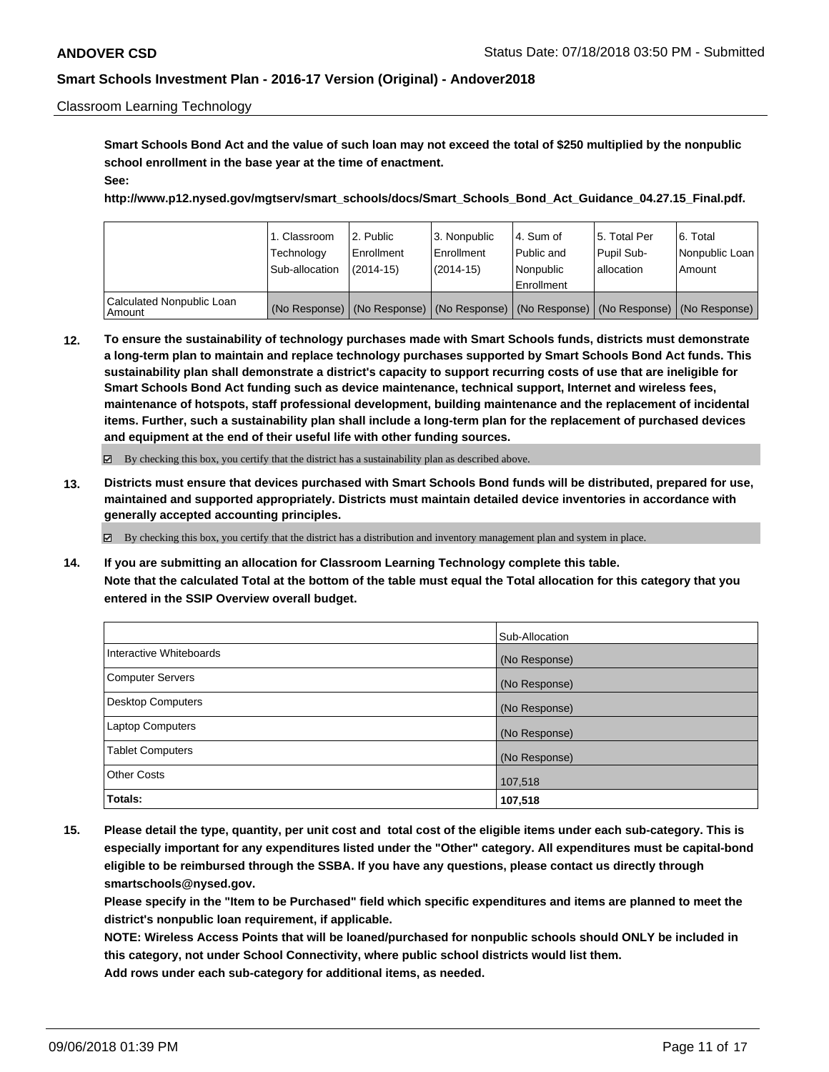#### Classroom Learning Technology

**Smart Schools Bond Act and the value of such loan may not exceed the total of \$250 multiplied by the nonpublic school enrollment in the base year at the time of enactment. See:**

**http://www.p12.nysed.gov/mgtserv/smart\_schools/docs/Smart\_Schools\_Bond\_Act\_Guidance\_04.27.15\_Final.pdf.**

|                                       | 1. Classroom<br>Technology<br>Sub-allocation | 2. Public<br>Enrollment<br>$(2014 - 15)$ | 3. Nonpublic<br>l Enrollment<br>$(2014-15)$ | l 4. Sum of<br>Public and<br>l Nonpublic | 15. Total Per<br>Pupil Sub-<br>lallocation | l 6. Total<br>Nonpublic Loan<br>Amount                                                        |
|---------------------------------------|----------------------------------------------|------------------------------------------|---------------------------------------------|------------------------------------------|--------------------------------------------|-----------------------------------------------------------------------------------------------|
|                                       |                                              |                                          |                                             | Enrollment                               |                                            |                                                                                               |
| Calculated Nonpublic Loan<br>  Amount |                                              |                                          |                                             |                                          |                                            | (No Response)   (No Response)   (No Response)   (No Response)   (No Response)   (No Response) |

**12. To ensure the sustainability of technology purchases made with Smart Schools funds, districts must demonstrate a long-term plan to maintain and replace technology purchases supported by Smart Schools Bond Act funds. This sustainability plan shall demonstrate a district's capacity to support recurring costs of use that are ineligible for Smart Schools Bond Act funding such as device maintenance, technical support, Internet and wireless fees, maintenance of hotspots, staff professional development, building maintenance and the replacement of incidental items. Further, such a sustainability plan shall include a long-term plan for the replacement of purchased devices and equipment at the end of their useful life with other funding sources.**

By checking this box, you certify that the district has a sustainability plan as described above.

**13. Districts must ensure that devices purchased with Smart Schools Bond funds will be distributed, prepared for use, maintained and supported appropriately. Districts must maintain detailed device inventories in accordance with generally accepted accounting principles.**

By checking this box, you certify that the district has a distribution and inventory management plan and system in place.

**14. If you are submitting an allocation for Classroom Learning Technology complete this table. Note that the calculated Total at the bottom of the table must equal the Total allocation for this category that you entered in the SSIP Overview overall budget.**

|                          | Sub-Allocation |
|--------------------------|----------------|
| Interactive Whiteboards  | (No Response)  |
| <b>Computer Servers</b>  | (No Response)  |
| <b>Desktop Computers</b> | (No Response)  |
| Laptop Computers         | (No Response)  |
| <b>Tablet Computers</b>  | (No Response)  |
| <b>Other Costs</b>       | 107,518        |
| Totals:                  | 107,518        |

**15. Please detail the type, quantity, per unit cost and total cost of the eligible items under each sub-category. This is especially important for any expenditures listed under the "Other" category. All expenditures must be capital-bond eligible to be reimbursed through the SSBA. If you have any questions, please contact us directly through smartschools@nysed.gov.**

**Please specify in the "Item to be Purchased" field which specific expenditures and items are planned to meet the district's nonpublic loan requirement, if applicable.**

**NOTE: Wireless Access Points that will be loaned/purchased for nonpublic schools should ONLY be included in this category, not under School Connectivity, where public school districts would list them. Add rows under each sub-category for additional items, as needed.**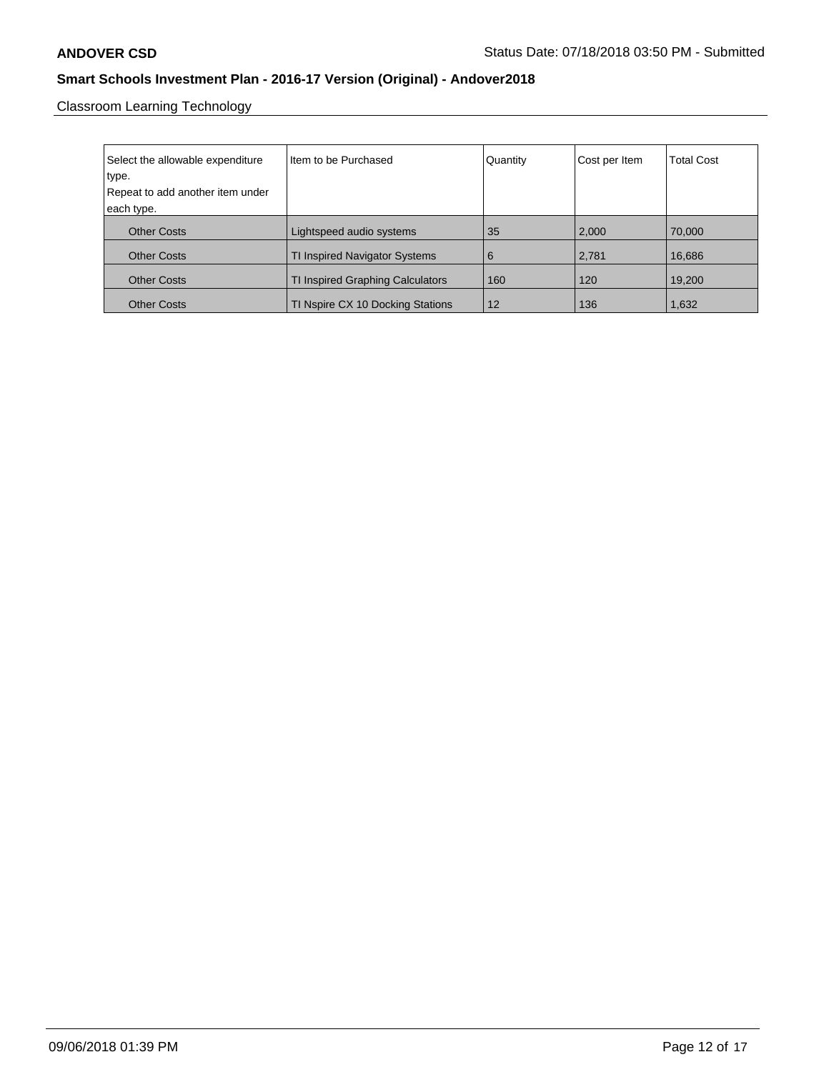Classroom Learning Technology

| Select the allowable expenditure | Item to be Purchased             | Quantity | Cost per Item | <b>Total Cost</b> |
|----------------------------------|----------------------------------|----------|---------------|-------------------|
| type.                            |                                  |          |               |                   |
| Repeat to add another item under |                                  |          |               |                   |
|                                  |                                  |          |               |                   |
| each type.                       |                                  |          |               |                   |
| <b>Other Costs</b>               | Lightspeed audio systems         | 35       | 2,000         | 70,000            |
| <b>Other Costs</b>               | TI Inspired Navigator Systems    | 6        | 2,781         | 16,686            |
| <b>Other Costs</b>               | TI Inspired Graphing Calculators | 160      | 120           | 19,200            |
| <b>Other Costs</b>               | TI Nspire CX 10 Docking Stations | 12       | 136           | 1,632             |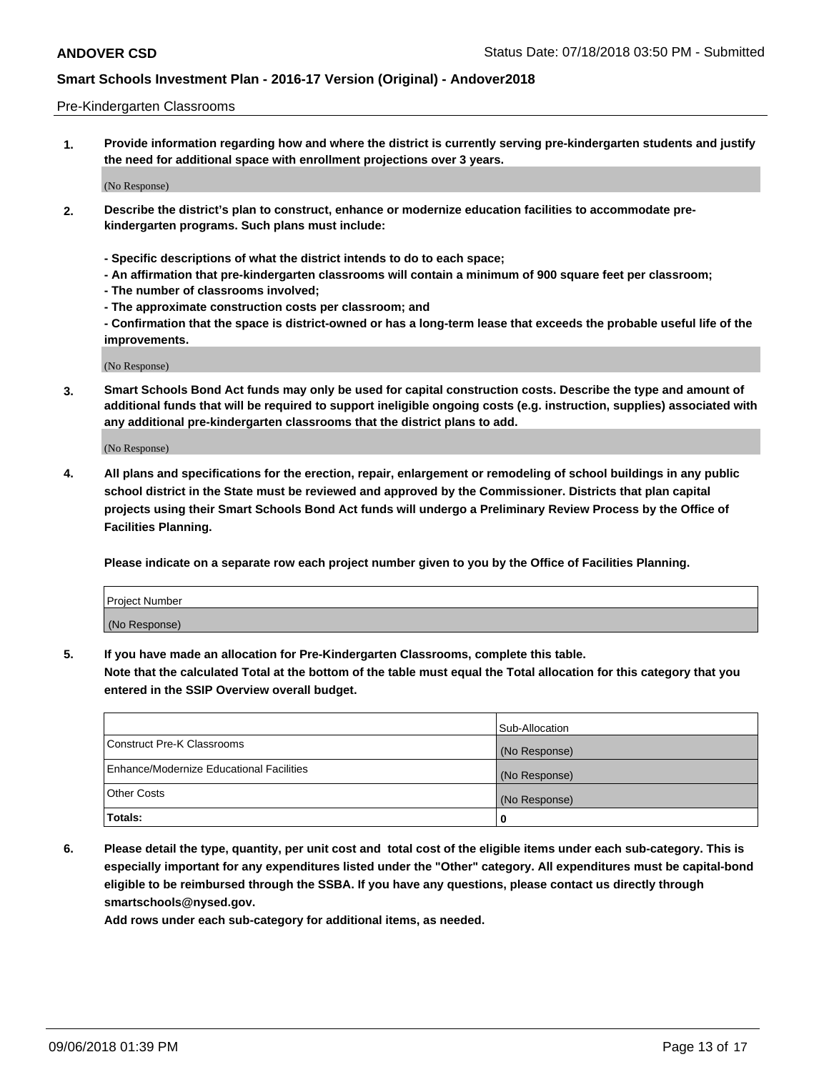#### Pre-Kindergarten Classrooms

**1. Provide information regarding how and where the district is currently serving pre-kindergarten students and justify the need for additional space with enrollment projections over 3 years.**

(No Response)

- **2. Describe the district's plan to construct, enhance or modernize education facilities to accommodate prekindergarten programs. Such plans must include:**
	- **Specific descriptions of what the district intends to do to each space;**
	- **An affirmation that pre-kindergarten classrooms will contain a minimum of 900 square feet per classroom;**
	- **The number of classrooms involved;**
	- **The approximate construction costs per classroom; and**
	- **Confirmation that the space is district-owned or has a long-term lease that exceeds the probable useful life of the improvements.**

(No Response)

**3. Smart Schools Bond Act funds may only be used for capital construction costs. Describe the type and amount of additional funds that will be required to support ineligible ongoing costs (e.g. instruction, supplies) associated with any additional pre-kindergarten classrooms that the district plans to add.**

(No Response)

**4. All plans and specifications for the erection, repair, enlargement or remodeling of school buildings in any public school district in the State must be reviewed and approved by the Commissioner. Districts that plan capital projects using their Smart Schools Bond Act funds will undergo a Preliminary Review Process by the Office of Facilities Planning.**

**Please indicate on a separate row each project number given to you by the Office of Facilities Planning.**

| Project Number |  |
|----------------|--|
| (No Response)  |  |
|                |  |

**5. If you have made an allocation for Pre-Kindergarten Classrooms, complete this table.**

**Note that the calculated Total at the bottom of the table must equal the Total allocation for this category that you entered in the SSIP Overview overall budget.**

|                                          | Sub-Allocation |
|------------------------------------------|----------------|
| Construct Pre-K Classrooms               | (No Response)  |
| Enhance/Modernize Educational Facilities | (No Response)  |
| <b>Other Costs</b>                       | (No Response)  |
| Totals:                                  | 0              |

**6. Please detail the type, quantity, per unit cost and total cost of the eligible items under each sub-category. This is especially important for any expenditures listed under the "Other" category. All expenditures must be capital-bond eligible to be reimbursed through the SSBA. If you have any questions, please contact us directly through smartschools@nysed.gov.**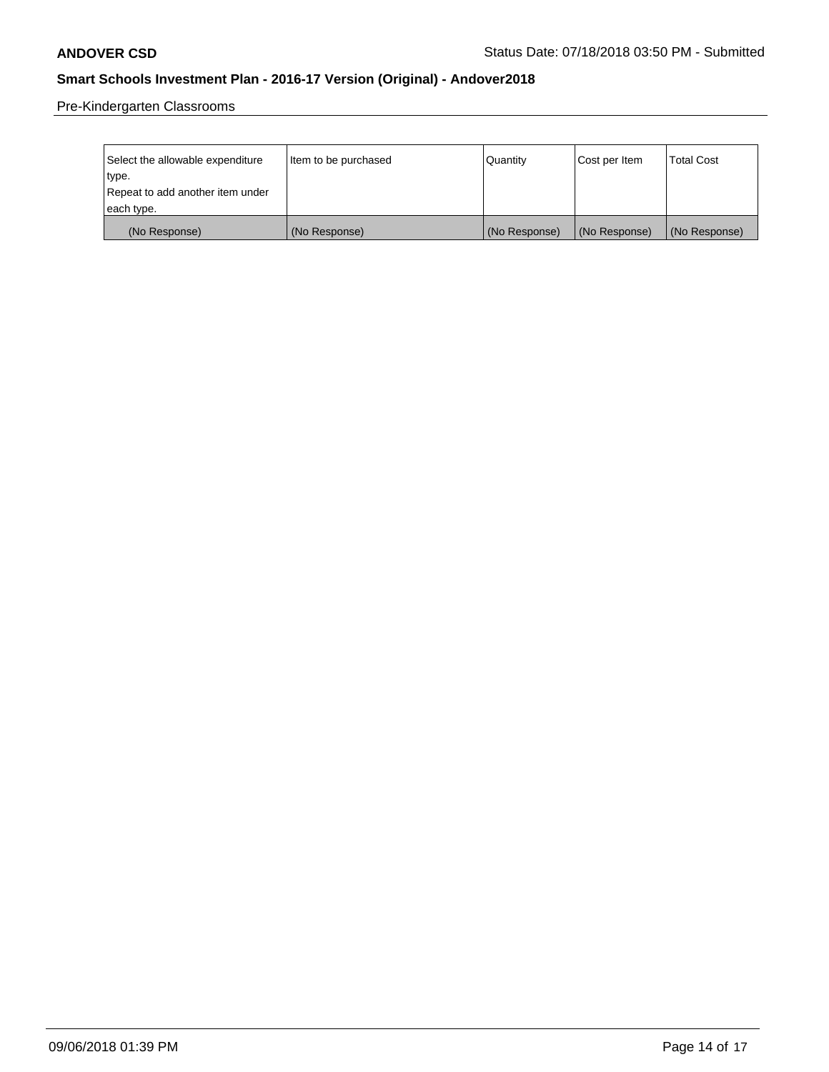Pre-Kindergarten Classrooms

| Select the allowable expenditure | Item to be purchased | Quantity      | Cost per Item | <b>Total Cost</b> |
|----------------------------------|----------------------|---------------|---------------|-------------------|
| type.                            |                      |               |               |                   |
| Repeat to add another item under |                      |               |               |                   |
| each type.                       |                      |               |               |                   |
| (No Response)                    | (No Response)        | (No Response) | (No Response) | (No Response)     |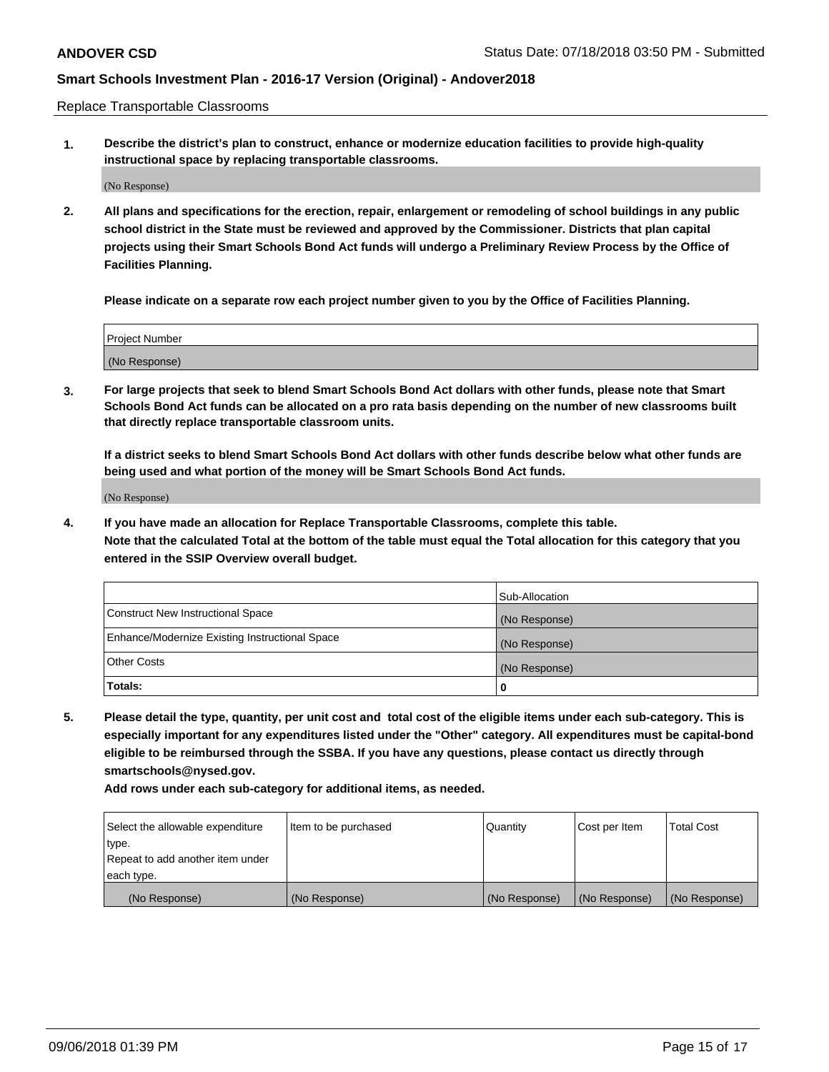Replace Transportable Classrooms

**1. Describe the district's plan to construct, enhance or modernize education facilities to provide high-quality instructional space by replacing transportable classrooms.**

(No Response)

**2. All plans and specifications for the erection, repair, enlargement or remodeling of school buildings in any public school district in the State must be reviewed and approved by the Commissioner. Districts that plan capital projects using their Smart Schools Bond Act funds will undergo a Preliminary Review Process by the Office of Facilities Planning.**

**Please indicate on a separate row each project number given to you by the Office of Facilities Planning.**

| Project Number |  |
|----------------|--|
|                |  |
|                |  |
|                |  |
|                |  |
| (No Response)  |  |
|                |  |
|                |  |
|                |  |

**3. For large projects that seek to blend Smart Schools Bond Act dollars with other funds, please note that Smart Schools Bond Act funds can be allocated on a pro rata basis depending on the number of new classrooms built that directly replace transportable classroom units.**

**If a district seeks to blend Smart Schools Bond Act dollars with other funds describe below what other funds are being used and what portion of the money will be Smart Schools Bond Act funds.**

(No Response)

**4. If you have made an allocation for Replace Transportable Classrooms, complete this table. Note that the calculated Total at the bottom of the table must equal the Total allocation for this category that you entered in the SSIP Overview overall budget.**

|                                                | Sub-Allocation |
|------------------------------------------------|----------------|
| Construct New Instructional Space              | (No Response)  |
| Enhance/Modernize Existing Instructional Space | (No Response)  |
| <b>Other Costs</b>                             | (No Response)  |
| Totals:                                        | 0              |

**5. Please detail the type, quantity, per unit cost and total cost of the eligible items under each sub-category. This is especially important for any expenditures listed under the "Other" category. All expenditures must be capital-bond eligible to be reimbursed through the SSBA. If you have any questions, please contact us directly through smartschools@nysed.gov.**

| Select the allowable expenditure | Item to be purchased | l Quantitv    | Cost per Item | <b>Total Cost</b> |
|----------------------------------|----------------------|---------------|---------------|-------------------|
| type.                            |                      |               |               |                   |
| Repeat to add another item under |                      |               |               |                   |
| each type.                       |                      |               |               |                   |
| (No Response)                    | (No Response)        | (No Response) | (No Response) | (No Response)     |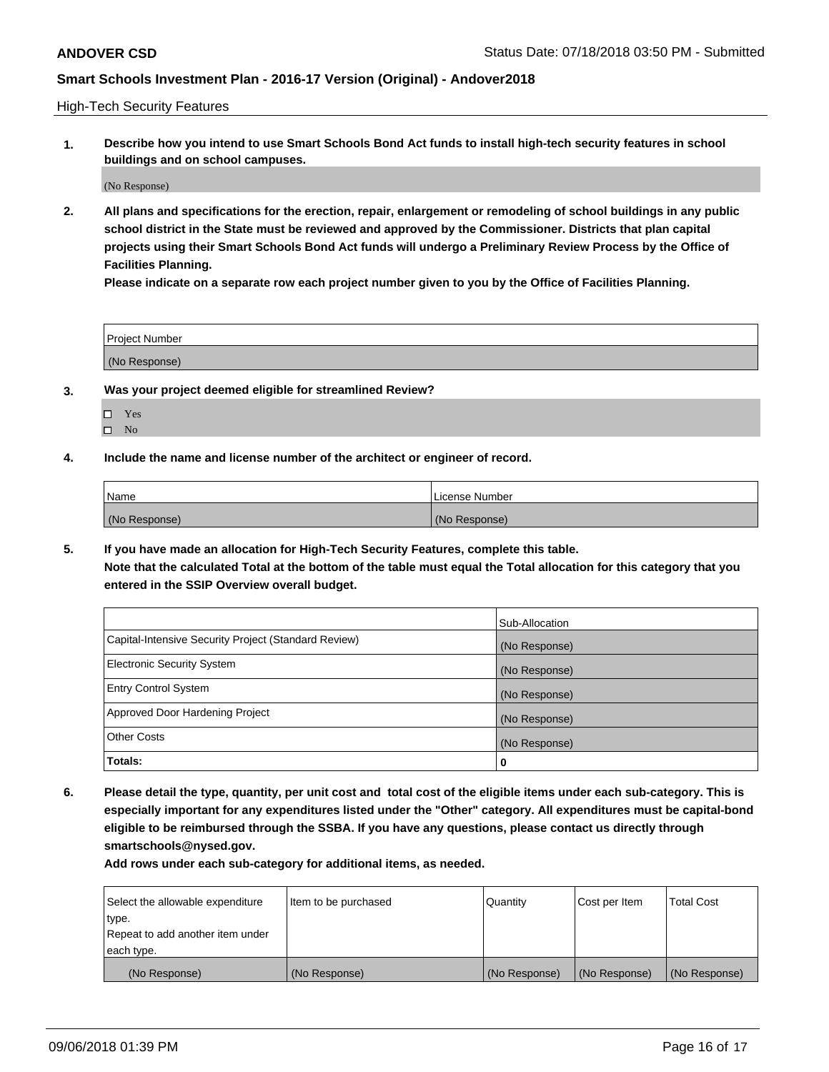High-Tech Security Features

**1. Describe how you intend to use Smart Schools Bond Act funds to install high-tech security features in school buildings and on school campuses.**

(No Response)

**2. All plans and specifications for the erection, repair, enlargement or remodeling of school buildings in any public school district in the State must be reviewed and approved by the Commissioner. Districts that plan capital projects using their Smart Schools Bond Act funds will undergo a Preliminary Review Process by the Office of Facilities Planning.** 

**Please indicate on a separate row each project number given to you by the Office of Facilities Planning.**

| <b>Project Number</b> |  |
|-----------------------|--|
| (No Response)         |  |

- **3. Was your project deemed eligible for streamlined Review?**
	- Yes
	- $\square$  No
- **4. Include the name and license number of the architect or engineer of record.**

| <b>Name</b>   | License Number |
|---------------|----------------|
| (No Response) | (No Response)  |

**5. If you have made an allocation for High-Tech Security Features, complete this table.**

**Note that the calculated Total at the bottom of the table must equal the Total allocation for this category that you entered in the SSIP Overview overall budget.**

|                                                      | Sub-Allocation |
|------------------------------------------------------|----------------|
| Capital-Intensive Security Project (Standard Review) | (No Response)  |
| <b>Electronic Security System</b>                    | (No Response)  |
| <b>Entry Control System</b>                          | (No Response)  |
| Approved Door Hardening Project                      | (No Response)  |
| <b>Other Costs</b>                                   | (No Response)  |
| Totals:                                              | 0              |

**6. Please detail the type, quantity, per unit cost and total cost of the eligible items under each sub-category. This is especially important for any expenditures listed under the "Other" category. All expenditures must be capital-bond eligible to be reimbursed through the SSBA. If you have any questions, please contact us directly through smartschools@nysed.gov.**

| Select the allowable expenditure | Item to be purchased | l Quantitv    | Cost per Item | <b>Total Cost</b> |
|----------------------------------|----------------------|---------------|---------------|-------------------|
| type.                            |                      |               |               |                   |
| Repeat to add another item under |                      |               |               |                   |
| each type.                       |                      |               |               |                   |
| (No Response)                    | (No Response)        | (No Response) | (No Response) | (No Response)     |